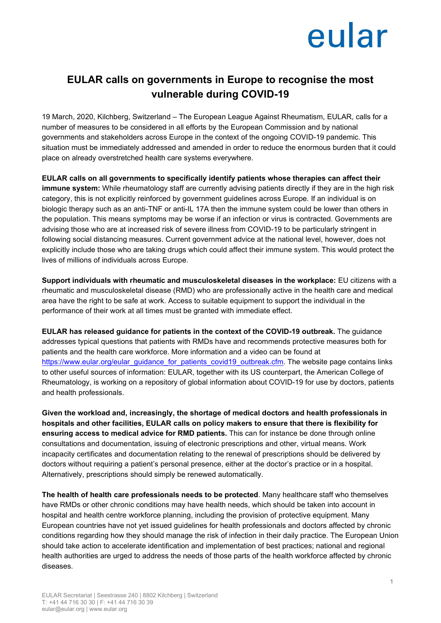## eular

### **EULAR calls on governments in Europe to recognise the most vulnerable during COVID-19**

19 March, 2020, Kilchberg, Switzerland – The European League Against Rheumatism, EULAR, calls for a number of measures to be considered in all efforts by the European Commission and by national governments and stakeholders across Europe in the context of the ongoing COVID-19 pandemic. This situation must be immediately addressed and amended in order to reduce the enormous burden that it could place on already overstretched health care systems everywhere.

**EULAR calls on all governments to specifically identify patients whose therapies can affect their immune system:** While rheumatology staff are currently advising patients directly if they are in the high risk category, this is not explicitly reinforced by government guidelines across Europe. If an individual is on biologic therapy such as an anti-TNF or anti-IL 17A then the immune system could be lower than others in the population. This means symptoms may be worse if an infection or virus is contracted. Governments are advising those who are at increased risk of severe illness from COVID-19 to be particularly stringent in following social distancing measures. Current government advice at the national level, however, does not explicitly include those who are taking drugs which could affect their immune system. This would protect the lives of millions of individuals across Europe.

**Support individuals with rheumatic and musculoskeletal diseases in the workplace:** EU citizens with a rheumatic and musculoskeletal disease (RMD) who are professionally active in the health care and medical area have the right to be safe at work. Access to suitable equipment to support the individual in the performance of their work at all times must be granted with immediate effect.

**EULAR has released guidance for patients in the context of the COVID-19 outbreak.** The guidance addresses typical questions that patients with RMDs have and recommends protective measures both for patients and the health care workforce. More information and a video can be found at [https://www.eular.org/eular\\_guidance\\_for\\_patients\\_covid19\\_outbreak.cfm.](https://www.eular.org/eular_guidance_for_patients_covid19_outbreak.cfm) The website page contains links to other useful sources of information: EULAR, together with its US counterpart, the American College of Rheumatology, is working on a repository of global information about COVID-19 for use by doctors, patients and health professionals.

**Given the workload and, increasingly, the shortage of medical doctors and health professionals in hospitals and other facilities, EULAR calls on policy makers to ensure that there is flexibility for ensuring access to medical advice for RMD patients.** This can for instance be done through online consultations and documentation, issuing of electronic prescriptions and other, virtual means. Work incapacity certificates and documentation relating to the renewal of prescriptions should be delivered by doctors without requiring a patient's personal presence, either at the doctor's practice or in a hospital. Alternatively, prescriptions should simply be renewed automatically.

**The health of health care professionals needs to be protected**. Many healthcare staff who themselves have RMDs or other chronic conditions may have health needs, which should be taken into account in hospital and health centre workforce planning, including the provision of protective equipment. Many European countries have not yet issued guidelines for health professionals and doctors affected by chronic conditions regarding how they should manage the risk of infection in their daily practice. The European Union should take action to accelerate identification and implementation of best practices; national and regional health authorities are urged to address the needs of those parts of the health workforce affected by chronic diseases.